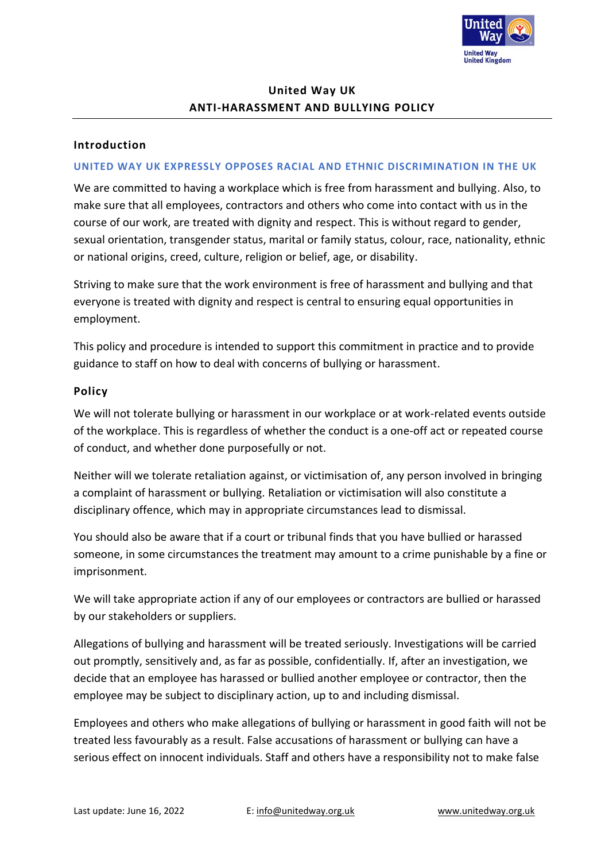

# **United Way UK ANTI-HARASSMENT AND BULLYING POLICY**

### **Introduction**

#### **UNITED WAY UK EXPRESSLY OPPOSES RACIAL AND ETHNIC DISCRIMINATION IN THE UK**

We are committed to having a workplace which is free from harassment and bullying. Also, to make sure that all employees, contractors and others who come into contact with us in the course of our work, are treated with dignity and respect. This is without regard to gender, sexual orientation, transgender status, marital or family status, colour, race, nationality, ethnic or national origins, creed, culture, religion or belief, age, or disability.

Striving to make sure that the work environment is free of harassment and bullying and that everyone is treated with dignity and respect is central to ensuring equal opportunities in employment.

This policy and procedure is intended to support this commitment in practice and to provide guidance to staff on how to deal with concerns of bullying or harassment.

#### **Policy**

We will not tolerate bullying or harassment in our workplace or at work-related events outside of the workplace. This is regardless of whether the conduct is a one-off act or repeated course of conduct, and whether done purposefully or not.

Neither will we tolerate retaliation against, or victimisation of, any person involved in bringing a complaint of harassment or bullying. Retaliation or victimisation will also constitute a disciplinary offence, which may in appropriate circumstances lead to dismissal.

You should also be aware that if a court or tribunal finds that you have bullied or harassed someone, in some circumstances the treatment may amount to a crime punishable by a fine or imprisonment.

We will take appropriate action if any of our employees or contractors are bullied or harassed by our stakeholders or suppliers.

Allegations of bullying and harassment will be treated seriously. Investigations will be carried out promptly, sensitively and, as far as possible, confidentially. If, after an investigation, we decide that an employee has harassed or bullied another employee or contractor, then the employee may be subject to disciplinary action, up to and including dismissal.

Employees and others who make allegations of bullying or harassment in good faith will not be treated less favourably as a result. False accusations of harassment or bullying can have a serious effect on innocent individuals. Staff and others have a responsibility not to make false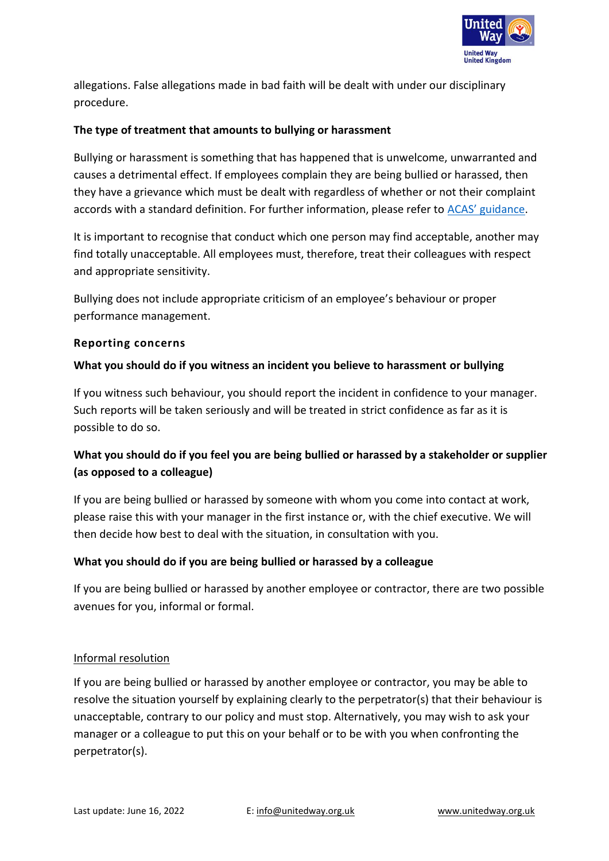

allegations. False allegations made in bad faith will be dealt with under our disciplinary procedure.

## **The type of treatment that amounts to bullying or harassment**

Bullying or harassment is something that has happened that is unwelcome, unwarranted and causes a detrimental effect. If employees complain they are being bullied or harassed, then they have a grievance which must be dealt with regardless of whether or not their complaint accords with a standard definition. For further information, please refer to ACAS' [guidance.](http://www.acas.org.uk/index.aspx?articleid=794)

It is important to recognise that conduct which one person may find acceptable, another may find totally unacceptable. All employees must, therefore, treat their colleagues with respect and appropriate sensitivity.

Bullying does not include appropriate criticism of an employee's behaviour or proper performance management.

### **Reporting concerns**

### **What you should do if you witness an incident you believe to harassment or bullying**

If you witness such behaviour, you should report the incident in confidence to your manager. Such reports will be taken seriously and will be treated in strict confidence as far as it is possible to do so.

## **What you should do if you feel you are being bullied or harassed by a stakeholder or supplier (as opposed to a colleague)**

If you are being bullied or harassed by someone with whom you come into contact at work, please raise this with your manager in the first instance or, with the chief executive. We will then decide how best to deal with the situation, in consultation with you.

### **What you should do if you are being bullied or harassed by a colleague**

If you are being bullied or harassed by another employee or contractor, there are two possible avenues for you, informal or formal.

### Informal resolution

If you are being bullied or harassed by another employee or contractor, you may be able to resolve the situation yourself by explaining clearly to the perpetrator(s) that their behaviour is unacceptable, contrary to our policy and must stop. Alternatively, you may wish to ask your manager or a colleague to put this on your behalf or to be with you when confronting the perpetrator(s).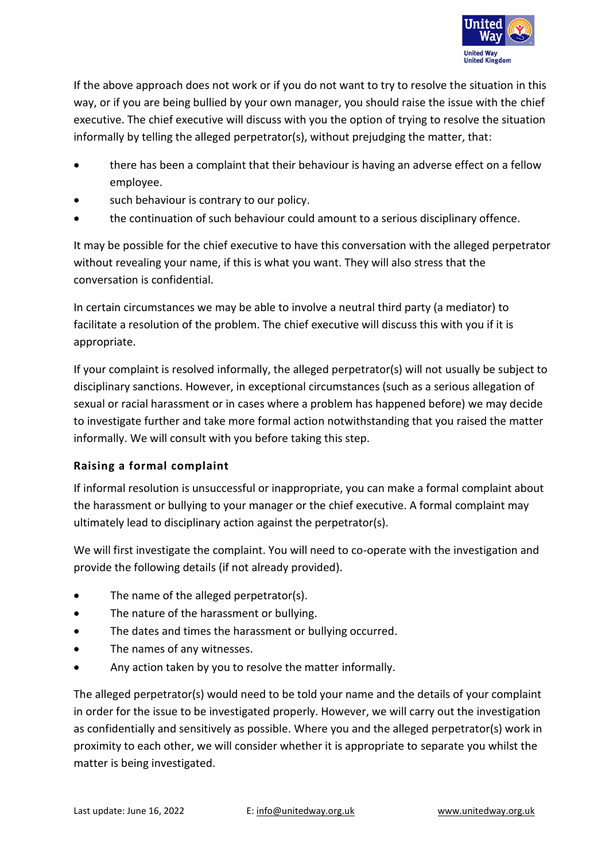

If the above approach does not work or if you do not want to try to resolve the situation in this way, or if you are being bullied by your own manager, you should raise the issue with the chief executive. The chief executive will discuss with you the option of trying to resolve the situation informally by telling the alleged perpetrator(s), without prejudging the matter, that:

- there has been a complaint that their behaviour is having an adverse effect on a fellow employee.
- such behaviour is contrary to our policy.
- the continuation of such behaviour could amount to a serious disciplinary offence.

It may be possible for the chief executive to have this conversation with the alleged perpetrator without revealing your name, if this is what you want. They will also stress that the conversation is confidential.

In certain circumstances we may be able to involve a neutral third party (a mediator) to facilitate a resolution of the problem. The chief executive will discuss this with you if it is appropriate.

If your complaint is resolved informally, the alleged perpetrator(s) will not usually be subject to disciplinary sanctions. However, in exceptional circumstances (such as a serious allegation of sexual or racial harassment or in cases where a problem has happened before) we may decide to investigate further and take more formal action notwithstanding that you raised the matter informally. We will consult with you before taking this step.

## **Raising a formal complaint**

If informal resolution is unsuccessful or inappropriate, you can make a formal complaint about the harassment or bullying to your manager or the chief executive. A formal complaint may ultimately lead to disciplinary action against the perpetrator(s).

We will first investigate the complaint. You will need to co-operate with the investigation and provide the following details (if not already provided).

- The name of the alleged perpetrator(s).
- The nature of the harassment or bullying.
- The dates and times the harassment or bullying occurred.
- The names of any witnesses.
- Any action taken by you to resolve the matter informally.

The alleged perpetrator(s) would need to be told your name and the details of your complaint in order for the issue to be investigated properly. However, we will carry out the investigation as confidentially and sensitively as possible. Where you and the alleged perpetrator(s) work in proximity to each other, we will consider whether it is appropriate to separate you whilst the matter is being investigated.